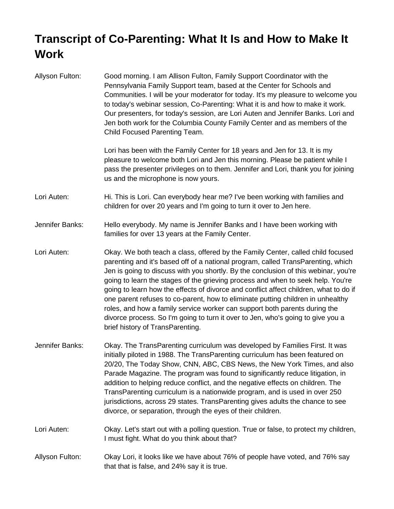## **Transcript of Co-Parenting: What It Is and How to Make It Work**

| Allyson Fulton: | Good morning. I am Allison Fulton, Family Support Coordinator with the<br>Pennsylvania Family Support team, based at the Center for Schools and<br>Communities. I will be your moderator for today. It's my pleasure to welcome you<br>to today's webinar session, Co-Parenting: What it is and how to make it work.<br>Our presenters, for today's session, are Lori Auten and Jennifer Banks. Lori and<br>Jen both work for the Columbia County Family Center and as members of the<br>Child Focused Parenting Team.                                                                                                                                                                                                         |
|-----------------|--------------------------------------------------------------------------------------------------------------------------------------------------------------------------------------------------------------------------------------------------------------------------------------------------------------------------------------------------------------------------------------------------------------------------------------------------------------------------------------------------------------------------------------------------------------------------------------------------------------------------------------------------------------------------------------------------------------------------------|
|                 | Lori has been with the Family Center for 18 years and Jen for 13. It is my<br>pleasure to welcome both Lori and Jen this morning. Please be patient while I<br>pass the presenter privileges on to them. Jennifer and Lori, thank you for joining<br>us and the microphone is now yours.                                                                                                                                                                                                                                                                                                                                                                                                                                       |
| Lori Auten:     | Hi. This is Lori. Can everybody hear me? I've been working with families and<br>children for over 20 years and I'm going to turn it over to Jen here.                                                                                                                                                                                                                                                                                                                                                                                                                                                                                                                                                                          |
| Jennifer Banks: | Hello everybody. My name is Jennifer Banks and I have been working with<br>families for over 13 years at the Family Center.                                                                                                                                                                                                                                                                                                                                                                                                                                                                                                                                                                                                    |
| Lori Auten:     | Okay. We both teach a class, offered by the Family Center, called child focused<br>parenting and it's based off of a national program, called TransParenting, which<br>Jen is going to discuss with you shortly. By the conclusion of this webinar, you're<br>going to learn the stages of the grieving process and when to seek help. You're<br>going to learn how the effects of divorce and conflict affect children, what to do if<br>one parent refuses to co-parent, how to eliminate putting children in unhealthy<br>roles, and how a family service worker can support both parents during the<br>divorce process. So I'm going to turn it over to Jen, who's going to give you a<br>brief history of TransParenting. |
| Jennifer Banks: | Okay. The TransParenting curriculum was developed by Families First. It was<br>initially piloted in 1988. The TransParenting curriculum has been featured on<br>20/20, The Today Show, CNN, ABC, CBS News, the New York Times, and also<br>Parade Magazine. The program was found to significantly reduce litigation, in<br>addition to helping reduce conflict, and the negative effects on children. The<br>TransParenting curriculum is a nationwide program, and is used in over 250<br>jurisdictions, across 29 states. TransParenting gives adults the chance to see<br>divorce, or separation, through the eyes of their children.                                                                                      |
| Lori Auten:     | Okay. Let's start out with a polling question. True or false, to protect my children,<br>I must fight. What do you think about that?                                                                                                                                                                                                                                                                                                                                                                                                                                                                                                                                                                                           |
| Allyson Fulton: | Okay Lori, it looks like we have about 76% of people have voted, and 76% say<br>that that is false, and 24% say it is true.                                                                                                                                                                                                                                                                                                                                                                                                                                                                                                                                                                                                    |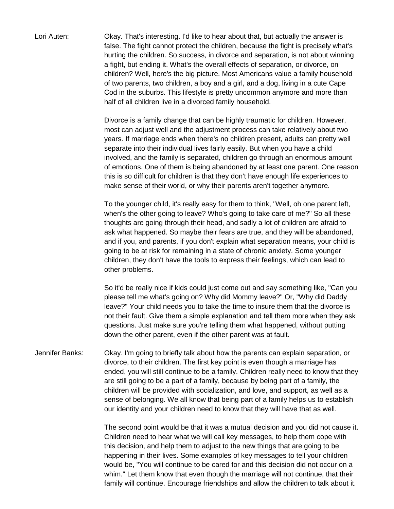Lori Auten: Okay. That's interesting. I'd like to hear about that, but actually the answer is false. The fight cannot protect the children, because the fight is precisely what's hurting the children. So success, in divorce and separation, is not about winning a fight, but ending it. What's the overall effects of separation, or divorce, on children? Well, here's the big picture. Most Americans value a family household of two parents, two children, a boy and a girl, and a dog, living in a cute Cape Cod in the suburbs. This lifestyle is pretty uncommon anymore and more than half of all children live in a divorced family household.

> Divorce is a family change that can be highly traumatic for children. However, most can adjust well and the adjustment process can take relatively about two years. If marriage ends when there's no children present, adults can pretty well separate into their individual lives fairly easily. But when you have a child involved, and the family is separated, children go through an enormous amount of emotions. One of them is being abandoned by at least one parent. One reason this is so difficult for children is that they don't have enough life experiences to make sense of their world, or why their parents aren't together anymore.

To the younger child, it's really easy for them to think, "Well, oh one parent left, when's the other going to leave? Who's going to take care of me?" So all these thoughts are going through their head, and sadly a lot of children are afraid to ask what happened. So maybe their fears are true, and they will be abandoned, and if you, and parents, if you don't explain what separation means, your child is going to be at risk for remaining in a state of chronic anxiety. Some younger children, they don't have the tools to express their feelings, which can lead to other problems.

So it'd be really nice if kids could just come out and say something like, "Can you please tell me what's going on? Why did Mommy leave?" Or, "Why did Daddy leave?" Your child needs you to take the time to insure them that the divorce is not their fault. Give them a simple explanation and tell them more when they ask questions. Just make sure you're telling them what happened, without putting down the other parent, even if the other parent was at fault.

Jennifer Banks: Okay. I'm going to briefly talk about how the parents can explain separation, or divorce, to their children. The first key point is even though a marriage has ended, you will still continue to be a family. Children really need to know that they are still going to be a part of a family, because by being part of a family, the children will be provided with socialization, and love, and support, as well as a sense of belonging. We all know that being part of a family helps us to establish our identity and your children need to know that they will have that as well.

> The second point would be that it was a mutual decision and you did not cause it. Children need to hear what we will call key messages, to help them cope with this decision, and help them to adjust to the new things that are going to be happening in their lives. Some examples of key messages to tell your children would be, "You will continue to be cared for and this decision did not occur on a whim." Let them know that even though the marriage will not continue, that their family will continue. Encourage friendships and allow the children to talk about it.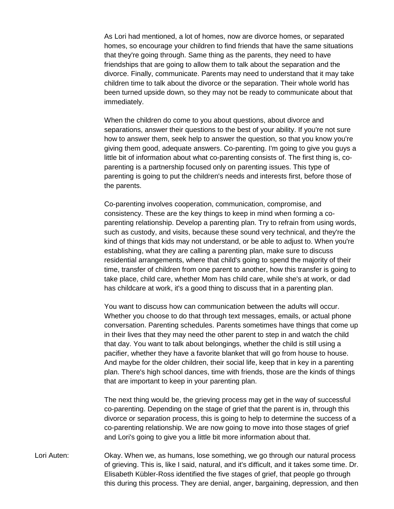As Lori had mentioned, a lot of homes, now are divorce homes, or separated homes, so encourage your children to find friends that have the same situations that they're going through. Same thing as the parents, they need to have friendships that are going to allow them to talk about the separation and the divorce. Finally, communicate. Parents may need to understand that it may take children time to talk about the divorce or the separation. Their whole world has been turned upside down, so they may not be ready to communicate about that immediately.

When the children do come to you about questions, about divorce and separations, answer their questions to the best of your ability. If you're not sure how to answer them, seek help to answer the question, so that you know you're giving them good, adequate answers. Co-parenting. I'm going to give you guys a little bit of information about what co-parenting consists of. The first thing is, coparenting is a partnership focused only on parenting issues. This type of parenting is going to put the children's needs and interests first, before those of the parents.

Co-parenting involves cooperation, communication, compromise, and consistency. These are the key things to keep in mind when forming a coparenting relationship. Develop a parenting plan. Try to refrain from using words, such as custody, and visits, because these sound very technical, and they're the kind of things that kids may not understand, or be able to adjust to. When you're establishing, what they are calling a parenting plan, make sure to discuss residential arrangements, where that child's going to spend the majority of their time, transfer of children from one parent to another, how this transfer is going to take place, child care, whether Mom has child care, while she's at work, or dad has childcare at work, it's a good thing to discuss that in a parenting plan.

You want to discuss how can communication between the adults will occur. Whether you choose to do that through text messages, emails, or actual phone conversation. Parenting schedules. Parents sometimes have things that come up in their lives that they may need the other parent to step in and watch the child that day. You want to talk about belongings, whether the child is still using a pacifier, whether they have a favorite blanket that will go from house to house. And maybe for the older children, their social life, keep that in key in a parenting plan. There's high school dances, time with friends, those are the kinds of things that are important to keep in your parenting plan.

The next thing would be, the grieving process may get in the way of successful co-parenting. Depending on the stage of grief that the parent is in, through this divorce or separation process, this is going to help to determine the success of a co-parenting relationship. We are now going to move into those stages of grief and Lori's going to give you a little bit more information about that.

Lori Auten: Okay. When we, as humans, lose something, we go through our natural process of grieving. This is, like I said, natural, and it's difficult, and it takes some time. Dr. Elisabeth Kübler-Ross identified the five stages of grief, that people go through this during this process. They are denial, anger, bargaining, depression, and then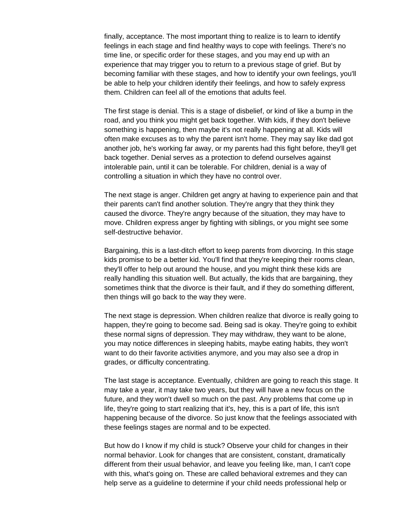finally, acceptance. The most important thing to realize is to learn to identify feelings in each stage and find healthy ways to cope with feelings. There's no time line, or specific order for these stages, and you may end up with an experience that may trigger you to return to a previous stage of grief. But by becoming familiar with these stages, and how to identify your own feelings, you'll be able to help your children identify their feelings, and how to safely express them. Children can feel all of the emotions that adults feel.

The first stage is denial. This is a stage of disbelief, or kind of like a bump in the road, and you think you might get back together. With kids, if they don't believe something is happening, then maybe it's not really happening at all. Kids will often make excuses as to why the parent isn't home. They may say like dad got another job, he's working far away, or my parents had this fight before, they'll get back together. Denial serves as a protection to defend ourselves against intolerable pain, until it can be tolerable. For children, denial is a way of controlling a situation in which they have no control over.

The next stage is anger. Children get angry at having to experience pain and that their parents can't find another solution. They're angry that they think they caused the divorce. They're angry because of the situation, they may have to move. Children express anger by fighting with siblings, or you might see some self-destructive behavior.

Bargaining, this is a last-ditch effort to keep parents from divorcing. In this stage kids promise to be a better kid. You'll find that they're keeping their rooms clean, they'll offer to help out around the house, and you might think these kids are really handling this situation well. But actually, the kids that are bargaining, they sometimes think that the divorce is their fault, and if they do something different, then things will go back to the way they were.

The next stage is depression. When children realize that divorce is really going to happen, they're going to become sad. Being sad is okay. They're going to exhibit these normal signs of depression. They may withdraw, they want to be alone, you may notice differences in sleeping habits, maybe eating habits, they won't want to do their favorite activities anymore, and you may also see a drop in grades, or difficulty concentrating.

The last stage is acceptance. Eventually, children are going to reach this stage. It may take a year, it may take two years, but they will have a new focus on the future, and they won't dwell so much on the past. Any problems that come up in life, they're going to start realizing that it's, hey, this is a part of life, this isn't happening because of the divorce. So just know that the feelings associated with these feelings stages are normal and to be expected.

But how do I know if my child is stuck? Observe your child for changes in their normal behavior. Look for changes that are consistent, constant, dramatically different from their usual behavior, and leave you feeling like, man, I can't cope with this, what's going on. These are called behavioral extremes and they can help serve as a guideline to determine if your child needs professional help or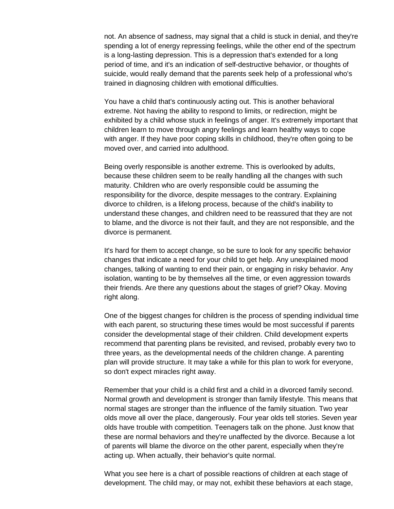not. An absence of sadness, may signal that a child is stuck in denial, and they're spending a lot of energy repressing feelings, while the other end of the spectrum is a long-lasting depression. This is a depression that's extended for a long period of time, and it's an indication of self-destructive behavior, or thoughts of suicide, would really demand that the parents seek help of a professional who's trained in diagnosing children with emotional difficulties.

You have a child that's continuously acting out. This is another behavioral extreme. Not having the ability to respond to limits, or redirection, might be exhibited by a child whose stuck in feelings of anger. It's extremely important that children learn to move through angry feelings and learn healthy ways to cope with anger. If they have poor coping skills in childhood, they're often going to be moved over, and carried into adulthood.

Being overly responsible is another extreme. This is overlooked by adults, because these children seem to be really handling all the changes with such maturity. Children who are overly responsible could be assuming the responsibility for the divorce, despite messages to the contrary. Explaining divorce to children, is a lifelong process, because of the child's inability to understand these changes, and children need to be reassured that they are not to blame, and the divorce is not their fault, and they are not responsible, and the divorce is permanent.

It's hard for them to accept change, so be sure to look for any specific behavior changes that indicate a need for your child to get help. Any unexplained mood changes, talking of wanting to end their pain, or engaging in risky behavior. Any isolation, wanting to be by themselves all the time, or even aggression towards their friends. Are there any questions about the stages of grief? Okay. Moving right along.

One of the biggest changes for children is the process of spending individual time with each parent, so structuring these times would be most successful if parents consider the developmental stage of their children. Child development experts recommend that parenting plans be revisited, and revised, probably every two to three years, as the developmental needs of the children change. A parenting plan will provide structure. It may take a while for this plan to work for everyone, so don't expect miracles right away.

Remember that your child is a child first and a child in a divorced family second. Normal growth and development is stronger than family lifestyle. This means that normal stages are stronger than the influence of the family situation. Two year olds move all over the place, dangerously. Four year olds tell stories. Seven year olds have trouble with competition. Teenagers talk on the phone. Just know that these are normal behaviors and they're unaffected by the divorce. Because a lot of parents will blame the divorce on the other parent, especially when they're acting up. When actually, their behavior's quite normal.

What you see here is a chart of possible reactions of children at each stage of development. The child may, or may not, exhibit these behaviors at each stage,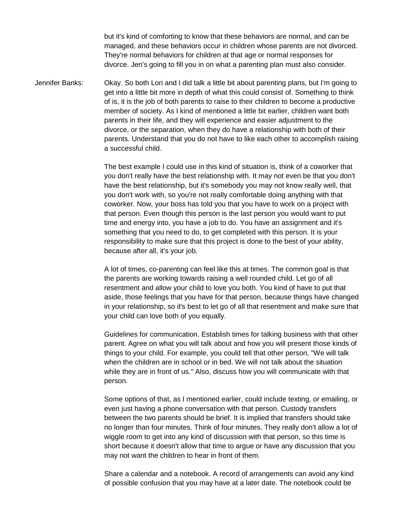but it's kind of comforting to know that these behaviors are normal, and can be managed, and these behaviors occur in children whose parents are not divorced. They're normal behaviors for children at that age or normal responses for divorce. Jen's going to fill you in on what a parenting plan must also consider.

Jennifer Banks: Okay. So both Lori and I did talk a little bit about parenting plans, but I'm going to get into a little bit more in depth of what this could consist of. Something to think of is, it is the job of both parents to raise to their children to become a productive member of society. As I kind of mentioned a little bit earlier, children want both parents in their life, and they will experience and easier adjustment to the divorce, or the separation, when they do have a relationship with both of their parents. Understand that you do not have to like each other to accomplish raising a successful child.

> The best example I could use in this kind of situation is, think of a coworker that you don't really have the best relationship with. It may not even be that you don't have the best relationship, but it's somebody you may not know really well, that you don't work with, so you're not really comfortable doing anything with that coworker. Now, your boss has told you that you have to work on a project with that person. Even though this person is the last person you would want to put time and energy into, you have a job to do. You have an assignment and it's something that you need to do, to get completed with this person. It is your responsibility to make sure that this project is done to the best of your ability, because after all, it's your job.

A lot of times, co-parenting can feel like this at times. The common goal is that the parents are working towards raising a well rounded child. Let go of all resentment and allow your child to love you both. You kind of have to put that aside, those feelings that you have for that person, because things have changed in your relationship, so it's best to let go of all that resentment and make sure that your child can love both of you equally.

Guidelines for communication. Establish times for talking business with that other parent. Agree on what you will talk about and how you will present those kinds of things to your child. For example, you could tell that other person, "We will talk when the children are in school or in bed. We will not talk about the situation while they are in front of us." Also, discuss how you will communicate with that person.

Some options of that, as I mentioned earlier, could include texting, or emailing, or even just having a phone conversation with that person. Custody transfers between the two parents should be brief. It is implied that transfers should take no longer than four minutes. Think of four minutes. They really don't allow a lot of wiggle room to get into any kind of discussion with that person, so this time is short because it doesn't allow that time to argue or have any discussion that you may not want the children to hear in front of them.

Share a calendar and a notebook. A record of arrangements can avoid any kind of possible confusion that you may have at a later date. The notebook could be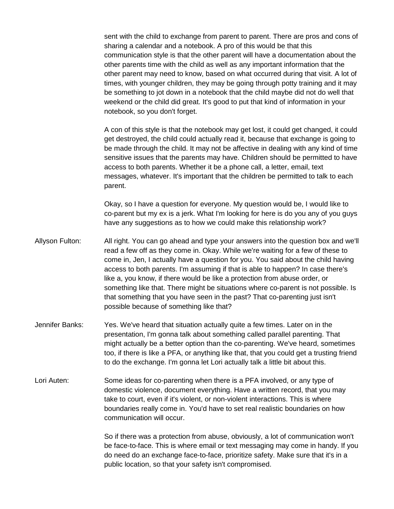sent with the child to exchange from parent to parent. There are pros and cons of sharing a calendar and a notebook. A pro of this would be that this communication style is that the other parent will have a documentation about the other parents time with the child as well as any important information that the other parent may need to know, based on what occurred during that visit. A lot of times, with younger children, they may be going through potty training and it may be something to jot down in a notebook that the child maybe did not do well that weekend or the child did great. It's good to put that kind of information in your notebook, so you don't forget.

A con of this style is that the notebook may get lost, it could get changed, it could get destroyed, the child could actually read it, because that exchange is going to be made through the child. It may not be affective in dealing with any kind of time sensitive issues that the parents may have. Children should be permitted to have access to both parents. Whether it be a phone call, a letter, email, text messages, whatever. It's important that the children be permitted to talk to each parent.

Okay, so I have a question for everyone. My question would be, I would like to co-parent but my ex is a jerk. What I'm looking for here is do you any of you guys have any suggestions as to how we could make this relationship work?

- Allyson Fulton: All right. You can go ahead and type your answers into the question box and we'll read a few off as they come in. Okay. While we're waiting for a few of these to come in, Jen, I actually have a question for you. You said about the child having access to both parents. I'm assuming if that is able to happen? In case there's like a, you know, if there would be like a protection from abuse order, or something like that. There might be situations where co-parent is not possible. Is that something that you have seen in the past? That co-parenting just isn't possible because of something like that?
- Jennifer Banks: Yes. We've heard that situation actually quite a few times. Later on in the presentation, I'm gonna talk about something called parallel parenting. That might actually be a better option than the co-parenting. We've heard, sometimes too, if there is like a PFA, or anything like that, that you could get a trusting friend to do the exchange. I'm gonna let Lori actually talk a little bit about this.
- Lori Auten: Some ideas for co-parenting when there is a PFA involved, or any type of domestic violence, document everything. Have a written record, that you may take to court, even if it's violent, or non-violent interactions. This is where boundaries really come in. You'd have to set real realistic boundaries on how communication will occur.

So if there was a protection from abuse, obviously, a lot of communication won't be face-to-face. This is where email or text messaging may come in handy. If you do need do an exchange face-to-face, prioritize safety. Make sure that it's in a public location, so that your safety isn't compromised.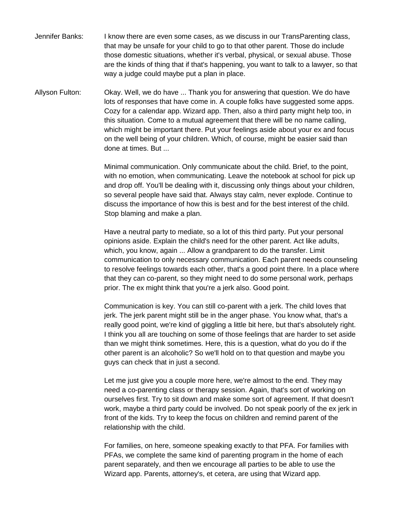Jennifer Banks: I know there are even some cases, as we discuss in our TransParenting class, that may be unsafe for your child to go to that other parent. Those do include those domestic situations, whether it's verbal, physical, or sexual abuse. Those are the kinds of thing that if that's happening, you want to talk to a lawyer, so that way a judge could maybe put a plan in place.

Allyson Fulton: Okay. Well, we do have ... Thank you for answering that question. We do have lots of responses that have come in. A couple folks have suggested some apps. Cozy for a calendar app. Wizard app. Then, also a third party might help too, in this situation. Come to a mutual agreement that there will be no name calling, which might be important there. Put your feelings aside about your ex and focus on the well being of your children. Which, of course, might be easier said than done at times. But ...

> Minimal communication. Only communicate about the child. Brief, to the point, with no emotion, when communicating. Leave the notebook at school for pick up and drop off. You'll be dealing with it, discussing only things about your children, so several people have said that. Always stay calm, never explode. Continue to discuss the importance of how this is best and for the best interest of the child. Stop blaming and make a plan.

Have a neutral party to mediate, so a lot of this third party. Put your personal opinions aside. Explain the child's need for the other parent. Act like adults, which, you know, again ... Allow a grandparent to do the transfer. Limit communication to only necessary communication. Each parent needs counseling to resolve feelings towards each other, that's a good point there. In a place where that they can co-parent, so they might need to do some personal work, perhaps prior. The ex might think that you're a jerk also. Good point.

Communication is key. You can still co-parent with a jerk. The child loves that jerk. The jerk parent might still be in the anger phase. You know what, that's a really good point, we're kind of giggling a little bit here, but that's absolutely right. I think you all are touching on some of those feelings that are harder to set aside than we might think sometimes. Here, this is a question, what do you do if the other parent is an alcoholic? So we'll hold on to that question and maybe you guys can check that in just a second.

Let me just give you a couple more here, we're almost to the end. They may need a co-parenting class or therapy session. Again, that's sort of working on ourselves first. Try to sit down and make some sort of agreement. If that doesn't work, maybe a third party could be involved. Do not speak poorly of the ex jerk in front of the kids. Try to keep the focus on children and remind parent of the relationship with the child.

For families, on here, someone speaking exactly to that PFA. For families with PFAs, we complete the same kind of parenting program in the home of each parent separately, and then we encourage all parties to be able to use the Wizard app. Parents, attorney's, et cetera, are using that Wizard app.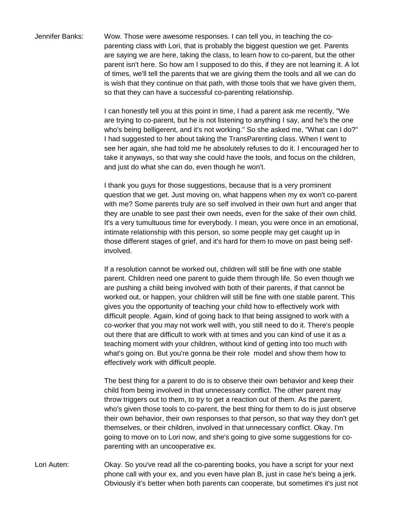Jennifer Banks: Wow. Those were awesome responses. I can tell you, in teaching the coparenting class with Lori, that is probably the biggest question we get. Parents are saying we are here, taking the class, to learn how to co-parent, but the other parent isn't here. So how am I supposed to do this, if they are not learning it. A lot of times, we'll tell the parents that we are giving them the tools and all we can do is wish that they continue on that path, with those tools that we have given them, so that they can have a successful co-parenting relationship.

> I can honestly tell you at this point in time, I had a parent ask me recently, "We are trying to co-parent, but he is not listening to anything I say, and he's the one who's being belligerent, and it's not working." So she asked me, "What can I do?" I had suggested to her about taking the TransParenting class. When I went to see her again, she had told me he absolutely refuses to do it. I encouraged her to take it anyways, so that way she could have the tools, and focus on the children, and just do what she can do, even though he won't.

> I thank you guys for those suggestions, because that is a very prominent question that we get. Just moving on, what happens when my ex won't co-parent with me? Some parents truly are so self involved in their own hurt and anger that they are unable to see past their own needs, even for the sake of their own child. It's a very tumultuous time for everybody. I mean, you were once in an emotional, intimate relationship with this person, so some people may get caught up in those different stages of grief, and it's hard for them to move on past being selfinvolved.

If a resolution cannot be worked out, children will still be fine with one stable parent. Children need one parent to guide them through life. So even though we are pushing a child being involved with both of their parents, if that cannot be worked out, or happen, your children will still be fine with one stable parent. This gives you the opportunity of teaching your child how to effectively work with difficult people. Again, kind of going back to that being assigned to work with a co-worker that you may not work well with, you still need to do it. There's people out there that are difficult to work with at times and you can kind of use it as a teaching moment with your children, without kind of getting into too much with what's going on. But you're gonna be their role model and show them how to effectively work with difficult people.

The best thing for a parent to do is to observe their own behavior and keep their child from being involved in that unnecessary conflict. The other parent may throw triggers out to them, to try to get a reaction out of them. As the parent, who's given those tools to co-parent, the best thing for them to do is just observe their own behavior, their own responses to that person, so that way they don't get themselves, or their children, involved in that unnecessary conflict. Okay. I'm going to move on to Lori now, and she's going to give some suggestions for coparenting with an uncooperative ex.

Lori Auten: Okay. So you've read all the co-parenting books, you have a script for your next phone call with your ex, and you even have plan B, just in case he's being a jerk. Obviously it's better when both parents can cooperate, but sometimes it's just not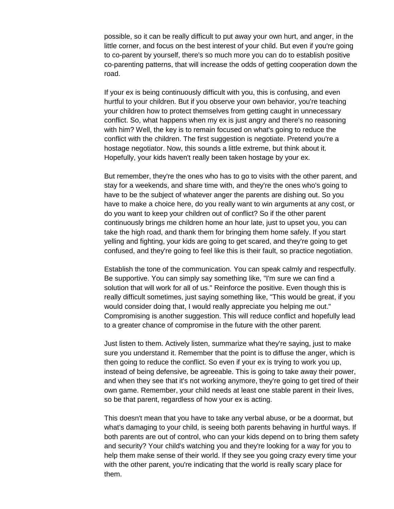possible, so it can be really difficult to put away your own hurt, and anger, in the little corner, and focus on the best interest of your child. But even if you're going to co-parent by yourself, there's so much more you can do to establish positive co-parenting patterns, that will increase the odds of getting cooperation down the road.

If your ex is being continuously difficult with you, this is confusing, and even hurtful to your children. But if you observe your own behavior, you're teaching your children how to protect themselves from getting caught in unnecessary conflict. So, what happens when my ex is just angry and there's no reasoning with him? Well, the key is to remain focused on what's going to reduce the conflict with the children. The first suggestion is negotiate. Pretend you're a hostage negotiator. Now, this sounds a little extreme, but think about it. Hopefully, your kids haven't really been taken hostage by your ex.

But remember, they're the ones who has to go to visits with the other parent, and stay for a weekends, and share time with, and they're the ones who's going to have to be the subject of whatever anger the parents are dishing out. So you have to make a choice here, do you really want to win arguments at any cost, or do you want to keep your children out of conflict? So if the other parent continuously brings me children home an hour late, just to upset you, you can take the high road, and thank them for bringing them home safely. If you start yelling and fighting, your kids are going to get scared, and they're going to get confused, and they're going to feel like this is their fault, so practice negotiation.

Establish the tone of the communication. You can speak calmly and respectfully. Be supportive. You can simply say something like, "I'm sure we can find a solution that will work for all of us." Reinforce the positive. Even though this is really difficult sometimes, just saying something like, "This would be great, if you would consider doing that, I would really appreciate you helping me out." Compromising is another suggestion. This will reduce conflict and hopefully lead to a greater chance of compromise in the future with the other parent.

Just listen to them. Actively listen, summarize what they're saying, just to make sure you understand it. Remember that the point is to diffuse the anger, which is then going to reduce the conflict. So even if your ex is trying to work you up, instead of being defensive, be agreeable. This is going to take away their power, and when they see that it's not working anymore, they're going to get tired of their own game. Remember, your child needs at least one stable parent in their lives, so be that parent, regardless of how your ex is acting.

This doesn't mean that you have to take any verbal abuse, or be a doormat, but what's damaging to your child, is seeing both parents behaving in hurtful ways. If both parents are out of control, who can your kids depend on to bring them safety and security? Your child's watching you and they're looking for a way for you to help them make sense of their world. If they see you going crazy every time your with the other parent, you're indicating that the world is really scary place for them.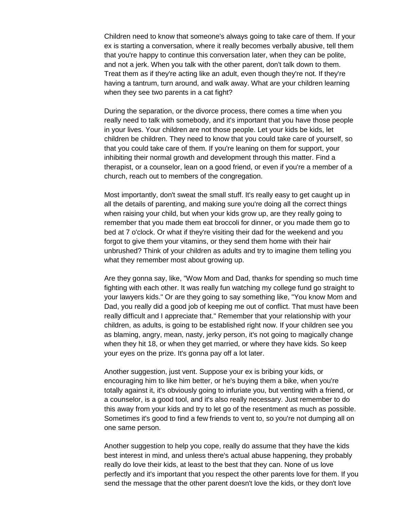Children need to know that someone's always going to take care of them. If your ex is starting a conversation, where it really becomes verbally abusive, tell them that you're happy to continue this conversation later, when they can be polite, and not a jerk. When you talk with the other parent, don't talk down to them. Treat them as if they're acting like an adult, even though they're not. If they're having a tantrum, turn around, and walk away. What are your children learning when they see two parents in a cat fight?

During the separation, or the divorce process, there comes a time when you really need to talk with somebody, and it's important that you have those people in your lives. Your children are not those people. Let your kids be kids, let children be children. They need to know that you could take care of yourself, so that you could take care of them. If you're leaning on them for support, your inhibiting their normal growth and development through this matter. Find a therapist, or a counselor, lean on a good friend, or even if you're a member of a church, reach out to members of the congregation.

Most importantly, don't sweat the small stuff. It's really easy to get caught up in all the details of parenting, and making sure you're doing all the correct things when raising your child, but when your kids grow up, are they really going to remember that you made them eat broccoli for dinner, or you made them go to bed at 7 o'clock. Or what if they're visiting their dad for the weekend and you forgot to give them your vitamins, or they send them home with their hair unbrushed? Think of your children as adults and try to imagine them telling you what they remember most about growing up.

Are they gonna say, like, "Wow Mom and Dad, thanks for spending so much time fighting with each other. It was really fun watching my college fund go straight to your lawyers kids." Or are they going to say something like, "You know Mom and Dad, you really did a good job of keeping me out of conflict. That must have been really difficult and I appreciate that." Remember that your relationship with your children, as adults, is going to be established right now. If your children see you as blaming, angry, mean, nasty, jerky person, it's not going to magically change when they hit 18, or when they get married, or where they have kids. So keep your eyes on the prize. It's gonna pay off a lot later.

Another suggestion, just vent. Suppose your ex is bribing your kids, or encouraging him to like him better, or he's buying them a bike, when you're totally against it, it's obviously going to infuriate you, but venting with a friend, or a counselor, is a good tool, and it's also really necessary. Just remember to do this away from your kids and try to let go of the resentment as much as possible. Sometimes it's good to find a few friends to vent to, so you're not dumping all on one same person.

Another suggestion to help you cope, really do assume that they have the kids best interest in mind, and unless there's actual abuse happening, they probably really do love their kids, at least to the best that they can. None of us love perfectly and it's important that you respect the other parents love for them. If you send the message that the other parent doesn't love the kids, or they don't love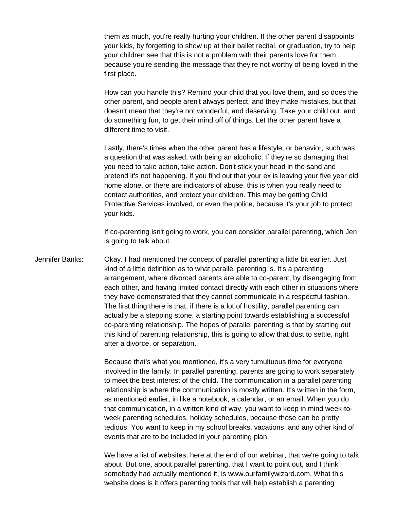them as much, you're really hurting your children. If the other parent disappoints your kids, by forgetting to show up at their ballet recital, or graduation, try to help your children see that this is not a problem with their parents love for them, because you're sending the message that they're not worthy of being loved in the first place.

How can you handle this? Remind your child that you love them, and so does the other parent, and people aren't always perfect, and they make mistakes, but that doesn't mean that they're not wonderful, and deserving. Take your child out, and do something fun, to get their mind off of things. Let the other parent have a different time to visit.

Lastly, there's times when the other parent has a lifestyle, or behavior, such was a question that was asked, with being an alcoholic. If they're so damaging that you need to take action, take action. Don't stick your head in the sand and pretend it's not happening. If you find out that your ex is leaving your five year old home alone, or there are indicators of abuse, this is when you really need to contact authorities, and protect your children. This may be getting Child Protective Services involved, or even the police, because it's your job to protect your kids.

If co-parenting isn't going to work, you can consider parallel parenting, which Jen is going to talk about.

Jennifer Banks: Okay. I had mentioned the concept of parallel parenting a little bit earlier. Just kind of a little definition as to what parallel parenting is. It's a parenting arrangement, where divorced parents are able to co-parent, by disengaging from each other, and having limited contact directly with each other in situations where they have demonstrated that they cannot communicate in a respectful fashion. The first thing there is that, if there is a lot of hostility, parallel parenting can actually be a stepping stone, a starting point towards establishing a successful co-parenting relationship. The hopes of parallel parenting is that by starting out this kind of parenting relationship, this is going to allow that dust to settle, right after a divorce, or separation.

> Because that's what you mentioned, it's a very tumultuous time for everyone involved in the family. In parallel parenting, parents are going to work separately to meet the best interest of the child. The communication in a parallel parenting relationship is where the communication is mostly written. It's written in the form, as mentioned earlier, in like a notebook, a calendar, or an email. When you do that communication, in a written kind of way, you want to keep in mind week-toweek parenting schedules, holiday schedules, because those can be pretty tedious. You want to keep in my school breaks, vacations, and any other kind of events that are to be included in your parenting plan.

We have a list of websites, here at the end of our webinar, that we're going to talk about. But one, about parallel parenting, that I want to point out, and I think somebody had actually mentioned it, is www.ourfamilywizard.com. What this website does is it offers parenting tools that will help establish a parenting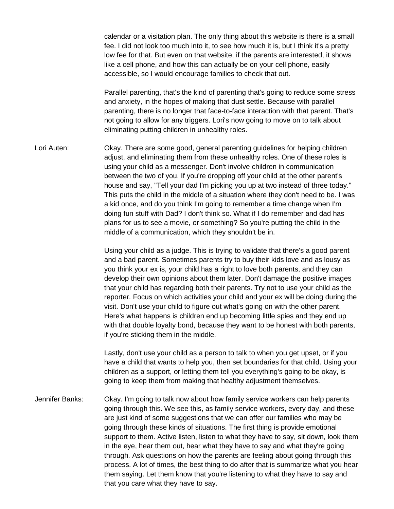calendar or a visitation plan. The only thing about this website is there is a small fee. I did not look too much into it, to see how much it is, but I think it's a pretty low fee for that. But even on that website, if the parents are interested, it shows like a cell phone, and how this can actually be on your cell phone, easily accessible, so I would encourage families to check that out.

Parallel parenting, that's the kind of parenting that's going to reduce some stress and anxiety, in the hopes of making that dust settle. Because with parallel parenting, there is no longer that face-to-face interaction with that parent. That's not going to allow for any triggers. Lori's now going to move on to talk about eliminating putting children in unhealthy roles.

Lori Auten: Okay. There are some good, general parenting guidelines for helping children adjust, and eliminating them from these unhealthy roles. One of these roles is using your child as a messenger. Don't involve children in communication between the two of you. If you're dropping off your child at the other parent's house and say, "Tell your dad I'm picking you up at two instead of three today." This puts the child in the middle of a situation where they don't need to be. I was a kid once, and do you think I'm going to remember a time change when I'm doing fun stuff with Dad? I don't think so. What if I do remember and dad has plans for us to see a movie, or something? So you're putting the child in the middle of a communication, which they shouldn't be in.

> Using your child as a judge. This is trying to validate that there's a good parent and a bad parent. Sometimes parents try to buy their kids love and as lousy as you think your ex is, your child has a right to love both parents, and they can develop their own opinions about them later. Don't damage the positive images that your child has regarding both their parents. Try not to use your child as the reporter. Focus on which activities your child and your ex will be doing during the visit. Don't use your child to figure out what's going on with the other parent. Here's what happens is children end up becoming little spies and they end up with that double loyalty bond, because they want to be honest with both parents, if you're sticking them in the middle.

> Lastly, don't use your child as a person to talk to when you get upset, or if you have a child that wants to help you, then set boundaries for that child. Using your children as a support, or letting them tell you everything's going to be okay, is going to keep them from making that healthy adjustment themselves.

Jennifer Banks: Okay. I'm going to talk now about how family service workers can help parents going through this. We see this, as family service workers, every day, and these are just kind of some suggestions that we can offer our families who may be going through these kinds of situations. The first thing is provide emotional support to them. Active listen, listen to what they have to say, sit down, look them in the eye, hear them out, hear what they have to say and what they're going through. Ask questions on how the parents are feeling about going through this process. A lot of times, the best thing to do after that is summarize what you hear them saying. Let them know that you're listening to what they have to say and that you care what they have to say.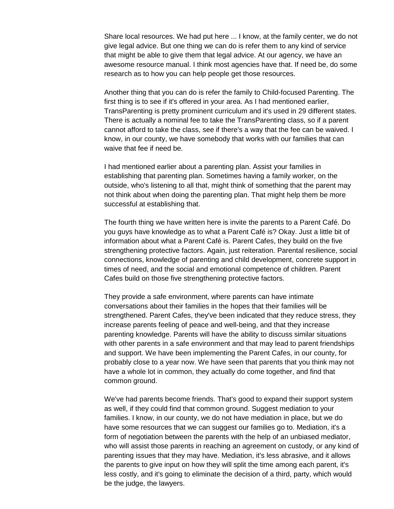Share local resources. We had put here ... I know, at the family center, we do not give legal advice. But one thing we can do is refer them to any kind of service that might be able to give them that legal advice. At our agency, we have an awesome resource manual. I think most agencies have that. If need be, do some research as to how you can help people get those resources.

Another thing that you can do is refer the family to Child-focused Parenting. The first thing is to see if it's offered in your area. As I had mentioned earlier, TransParenting is pretty prominent curriculum and it's used in 29 different states. There is actually a nominal fee to take the TransParenting class, so if a parent cannot afford to take the class, see if there's a way that the fee can be waived. I know, in our county, we have somebody that works with our families that can waive that fee if need be.

I had mentioned earlier about a parenting plan. Assist your families in establishing that parenting plan. Sometimes having a family worker, on the outside, who's listening to all that, might think of something that the parent may not think about when doing the parenting plan. That might help them be more successful at establishing that.

The fourth thing we have written here is invite the parents to a Parent Café. Do you guys have knowledge as to what a Parent Café is? Okay. Just a little bit of information about what a Parent Café is. Parent Cafes, they build on the five strengthening protective factors. Again, just reiteration. Parental resilience, social connections, knowledge of parenting and child development, concrete support in times of need, and the social and emotional competence of children. Parent Cafes build on those five strengthening protective factors.

They provide a safe environment, where parents can have intimate conversations about their families in the hopes that their families will be strengthened. Parent Cafes, they've been indicated that they reduce stress, they increase parents feeling of peace and well-being, and that they increase parenting knowledge. Parents will have the ability to discuss similar situations with other parents in a safe environment and that may lead to parent friendships and support. We have been implementing the Parent Cafes, in our county, for probably close to a year now. We have seen that parents that you think may not have a whole lot in common, they actually do come together, and find that common ground.

We've had parents become friends. That's good to expand their support system as well, if they could find that common ground. Suggest mediation to your families. I know, in our county, we do not have mediation in place, but we do have some resources that we can suggest our families go to. Mediation, it's a form of negotiation between the parents with the help of an unbiased mediator, who will assist those parents in reaching an agreement on custody, or any kind of parenting issues that they may have. Mediation, it's less abrasive, and it allows the parents to give input on how they will split the time among each parent, it's less costly, and it's going to eliminate the decision of a third, party, which would be the judge, the lawyers.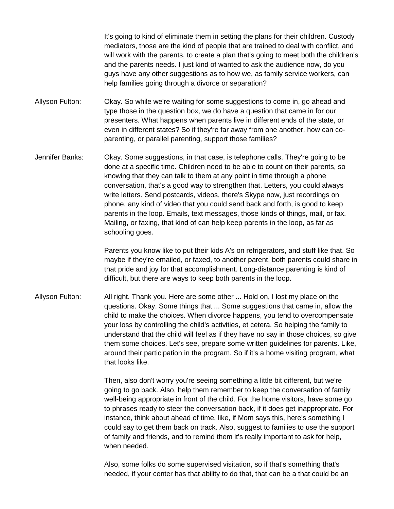It's going to kind of eliminate them in setting the plans for their children. Custody mediators, those are the kind of people that are trained to deal with conflict, and will work with the parents, to create a plan that's going to meet both the children's and the parents needs. I just kind of wanted to ask the audience now, do you guys have any other suggestions as to how we, as family service workers, can help families going through a divorce or separation?

Allyson Fulton: Okay. So while we're waiting for some suggestions to come in, go ahead and type those in the question box, we do have a question that came in for our presenters. What happens when parents live in different ends of the state, or even in different states? So if they're far away from one another, how can coparenting, or parallel parenting, support those families?

Jennifer Banks: Okay. Some suggestions, in that case, is telephone calls. They're going to be done at a specific time. Children need to be able to count on their parents, so knowing that they can talk to them at any point in time through a phone conversation, that's a good way to strengthen that. Letters, you could always write letters. Send postcards, videos, there's Skype now, just recordings on phone, any kind of video that you could send back and forth, is good to keep parents in the loop. Emails, text messages, those kinds of things, mail, or fax. Mailing, or faxing, that kind of can help keep parents in the loop, as far as schooling goes.

> Parents you know like to put their kids A's on refrigerators, and stuff like that. So maybe if they're emailed, or faxed, to another parent, both parents could share in that pride and joy for that accomplishment. Long-distance parenting is kind of difficult, but there are ways to keep both parents in the loop.

Allyson Fulton: All right. Thank you. Here are some other ... Hold on, I lost my place on the questions. Okay. Some things that ... Some suggestions that came in, allow the child to make the choices. When divorce happens, you tend to overcompensate your loss by controlling the child's activities, et cetera. So helping the family to understand that the child will feel as if they have no say in those choices, so give them some choices. Let's see, prepare some written guidelines for parents. Like, around their participation in the program. So if it's a home visiting program, what that looks like.

> Then, also don't worry you're seeing something a little bit different, but we're going to go back. Also, help them remember to keep the conversation of family well-being appropriate in front of the child. For the home visitors, have some go to phrases ready to steer the conversation back, if it does get inappropriate. For instance, think about ahead of time, like, if Mom says this, here's something I could say to get them back on track. Also, suggest to families to use the support of family and friends, and to remind them it's really important to ask for help, when needed.

Also, some folks do some supervised visitation, so if that's something that's needed, if your center has that ability to do that, that can be a that could be an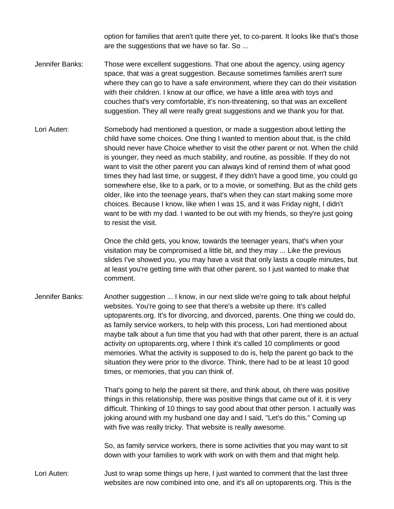option for families that aren't quite there yet, to co-parent. It looks like that's those are the suggestions that we have so far. So ...

- Jennifer Banks: Those were excellent suggestions. That one about the agency, using agency space, that was a great suggestion. Because sometimes families aren't sure where they can go to have a safe environment, where they can do their visitation with their children. I know at our office, we have a little area with toys and couches that's very comfortable, it's non-threatening, so that was an excellent suggestion. They all were really great suggestions and we thank you for that.
- Lori Auten: Somebody had mentioned a question, or made a suggestion about letting the child have some choices. One thing I wanted to mention about that, is the child should never have Choice whether to visit the other parent or not. When the child is younger, they need as much stability, and routine, as possible. If they do not want to visit the other parent you can always kind of remind them of what good times they had last time, or suggest, if they didn't have a good time, you could go somewhere else, like to a park, or to a movie, or something. But as the child gets older, like into the teenage years, that's when they can start making some more choices. Because I know, like when I was 15, and it was Friday night, I didn't want to be with my dad. I wanted to be out with my friends, so they're just going to resist the visit.

Once the child gets, you know, towards the teenager years, that's when your visitation may be compromised a little bit, and they may ... Like the previous slides I've showed you, you may have a visit that only lasts a couple minutes, but at least you're getting time with that other parent, so I just wanted to make that comment.

Jennifer Banks: Another suggestion ... I know, in our next slide we're going to talk about helpful websites. You're going to see that there's a website up there. It's called uptoparents.org. It's for divorcing, and divorced, parents. One thing we could do, as family service workers, to help with this process, Lori had mentioned about maybe talk about a fun time that you had with that other parent, there is an actual activity on uptoparents.org, where I think it's called 10 compliments or good memories. What the activity is supposed to do is, help the parent go back to the situation they were prior to the divorce. Think, there had to be at least 10 good times, or memories, that you can think of.

> That's going to help the parent sit there, and think about, oh there was positive things in this relationship, there was positive things that came out of it. it is very difficult. Thinking of 10 things to say good about that other person. I actually was joking around with my husband one day and I said, "Let's do this." Coming up with five was really tricky. That website is really awesome.

So, as family service workers, there is some activities that you may want to sit down with your families to work with work on with them and that might help.

Lori Auten: Just to wrap some things up here, I just wanted to comment that the last three websites are now combined into one, and it's all on uptoparents.org. This is the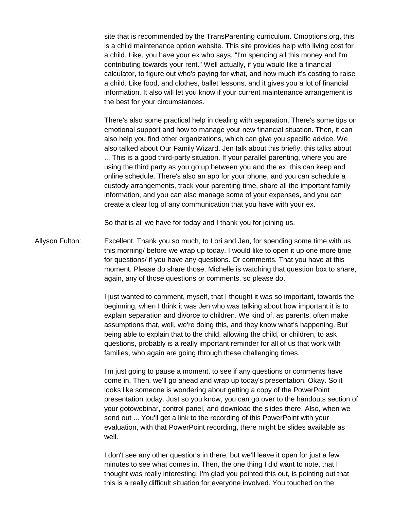site that is recommended by the TransParenting curriculum. Cmoptions.org, this is a child maintenance option website. This site provides help with living cost for a child. Like, you have your ex who says, "I'm spending all this money and I'm contributing towards your rent." Well actually, if you would like a financial calculator, to figure out who's paying for what, and how much it's costing to raise a child. Like food, and clothes, ballet lessons, and it gives you a lot of financial information. It also will let you know if your current maintenance arrangement is the best for your circumstances.

There's also some practical help in dealing with separation. There's some tips on emotional support and how to manage your new financial situation. Then, it can also help you find other organizations, which can give you specific advice. We also talked about Our Family Wizard. Jen talk about this briefly, this talks about ... This is a good third-party situation. If your parallel parenting, where you are using the third party as you go up between you and the ex, this can keep and online schedule. There's also an app for your phone, and you can schedule a custody arrangements, track your parenting time, share all the important family information, and you can also manage some of your expenses, and you can create a clear log of any communication that you have with your ex.

So that is all we have for today and I thank you for joining us.

Allyson Fulton: Excellent. Thank you so much, to Lori and Jen, for spending some time with us this morning/ before we wrap up today. I would like to open it up one more time for questions/ if you have any questions. Or comments. That you have at this moment. Please do share those. Michelle is watching that question box to share, again, any of those questions or comments, so please do.

> I just wanted to comment, myself, that I thought it was so important, towards the beginning, when I think it was Jen who was talking about how important it is to explain separation and divorce to children. We kind of, as parents, often make assumptions that, well, we're doing this, and they know what's happening. But being able to explain that to the child, allowing the child, or children, to ask questions, probably is a really important reminder for all of us that work with families, who again are going through these challenging times.

I'm just going to pause a moment, to see if any questions or comments have come in. Then, we'll go ahead and wrap up today's presentation. Okay. So it looks like someone is wondering about getting a copy of the PowerPoint presentation today. Just so you know, you can go over to the handouts section of your gotowebinar, control panel, and download the slides there. Also, when we send out ... You'll get a link to the recording of this PowerPoint with your evaluation, with that PowerPoint recording, there might be slides available as well.

I don't see any other questions in there, but we'll leave it open for just a few minutes to see what comes in. Then, the one thing I did want to note, that I thought was really interesting, I'm glad you pointed this out, is pointing out that this is a really difficult situation for everyone involved. You touched on the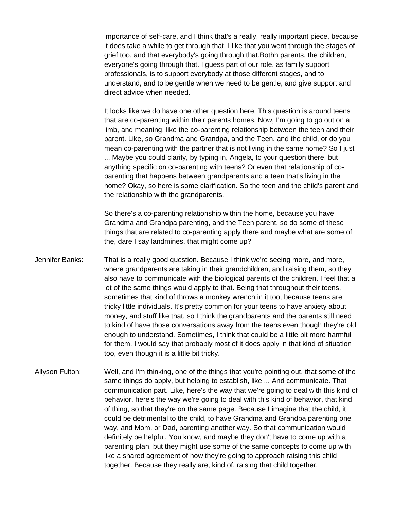importance of self-care, and I think that's a really, really important piece, because it does take a while to get through that. I like that you went through the stages of grief too, and that everybody's going through that.Bothh parents, the children, everyone's going through that. I guess part of our role, as family support professionals, is to support everybody at those different stages, and to understand, and to be gentle when we need to be gentle, and give support and direct advice when needed.

It looks like we do have one other question here. This question is around teens that are co-parenting within their parents homes. Now, I'm going to go out on a limb, and meaning, like the co-parenting relationship between the teen and their parent. Like, so Grandma and Grandpa, and the Teen, and the child, or do you mean co-parenting with the partner that is not living in the same home? So I just ... Maybe you could clarify, by typing in, Angela, to your question there, but anything specific on co-parenting with teens? Or even that relationship of coparenting that happens between grandparents and a teen that's living in the home? Okay, so here is some clarification. So the teen and the child's parent and the relationship with the grandparents.

So there's a co-parenting relationship within the home, because you have Grandma and Grandpa parenting, and the Teen parent, so do some of these things that are related to co-parenting apply there and maybe what are some of the, dare I say landmines, that might come up?

- Jennifer Banks: That is a really good question. Because I think we're seeing more, and more, where grandparents are taking in their grandchildren, and raising them, so they also have to communicate with the biological parents of the children. I feel that a lot of the same things would apply to that. Being that throughout their teens, sometimes that kind of throws a monkey wrench in it too, because teens are tricky little individuals. It's pretty common for your teens to have anxiety about money, and stuff like that, so I think the grandparents and the parents still need to kind of have those conversations away from the teens even though they're old enough to understand. Sometimes, I think that could be a little bit more harmful for them. I would say that probably most of it does apply in that kind of situation too, even though it is a little bit tricky.
- Allyson Fulton: Well, and I'm thinking, one of the things that you're pointing out, that some of the same things do apply, but helping to establish, like ... And communicate. That communication part. Like, here's the way that we're going to deal with this kind of behavior, here's the way we're going to deal with this kind of behavior, that kind of thing, so that they're on the same page. Because I imagine that the child, it could be detrimental to the child, to have Grandma and Grandpa parenting one way, and Mom, or Dad, parenting another way. So that communication would definitely be helpful. You know, and maybe they don't have to come up with a parenting plan, but they might use some of the same concepts to come up with like a shared agreement of how they're going to approach raising this child together. Because they really are, kind of, raising that child together.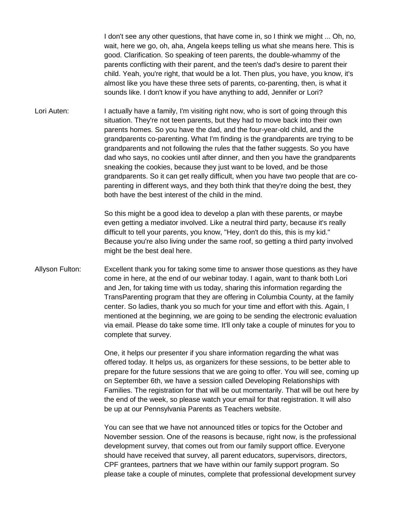I don't see any other questions, that have come in, so I think we might ... Oh, no, wait, here we go, oh, aha, Angela keeps telling us what she means here. This is good. Clarification. So speaking of teen parents, the double-whammy of the parents conflicting with their parent, and the teen's dad's desire to parent their child. Yeah, you're right, that would be a lot. Then plus, you have, you know, it's almost like you have these three sets of parents, co-parenting, then, is what it sounds like. I don't know if you have anything to add, Jennifer or Lori?

Lori Auten: I actually have a family, I'm visiting right now, who is sort of going through this situation. They're not teen parents, but they had to move back into their own parents homes. So you have the dad, and the four-year-old child, and the grandparents co-parenting. What I'm finding is the grandparents are trying to be grandparents and not following the rules that the father suggests. So you have dad who says, no cookies until after dinner, and then you have the grandparents sneaking the cookies, because they just want to be loved, and be those grandparents. So it can get really difficult, when you have two people that are coparenting in different ways, and they both think that they're doing the best, they both have the best interest of the child in the mind.

> So this might be a good idea to develop a plan with these parents, or maybe even getting a mediator involved. Like a neutral third party, because it's really difficult to tell your parents, you know, "Hey, don't do this, this is my kid." Because you're also living under the same roof, so getting a third party involved might be the best deal here.

Allyson Fulton: Excellent thank you for taking some time to answer those questions as they have come in here, at the end of our webinar today. I again, want to thank both Lori and Jen, for taking time with us today, sharing this information regarding the TransParenting program that they are offering in Columbia County, at the family center. So ladies, thank you so much for your time and effort with this. Again, I mentioned at the beginning, we are going to be sending the electronic evaluation via email. Please do take some time. It'll only take a couple of minutes for you to complete that survey.

> One, it helps our presenter if you share information regarding the what was offered today. It helps us, as organizers for these sessions, to be better able to prepare for the future sessions that we are going to offer. You will see, coming up on September 6th, we have a session called Developing Relationships with Families. The registration for that will be out momentarily. That will be out here by the end of the week, so please watch your email for that registration. It will also be up at our Pennsylvania Parents as Teachers website.

> You can see that we have not announced titles or topics for the October and November session. One of the reasons is because, right now, is the professional development survey, that comes out from our family support office. Everyone should have received that survey, all parent educators, supervisors, directors, CPF grantees, partners that we have within our family support program. So please take a couple of minutes, complete that professional development survey